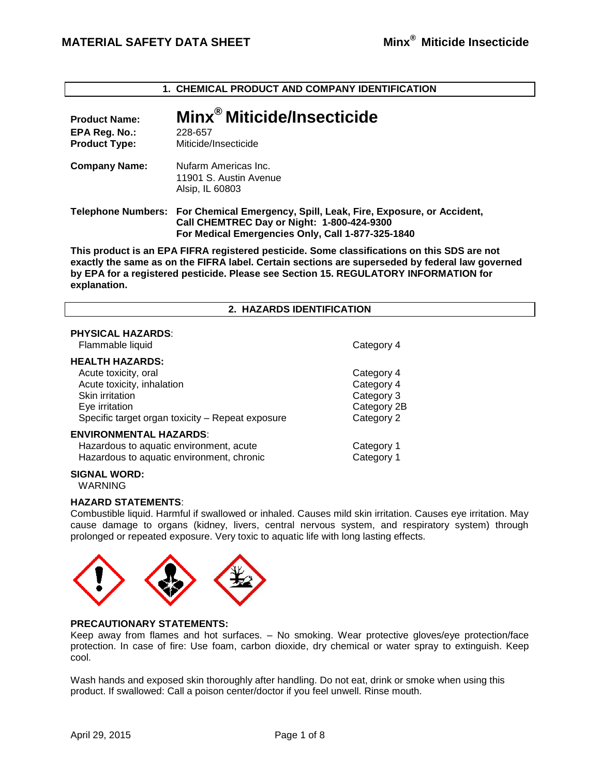**1. CHEMICAL PRODUCT AND COMPANY IDENTIFICATION**

| <b>Product Name:</b><br>EPA Reg. No.:<br><b>Product Type:</b> | Minx <sup>®</sup> Miticide/Insecticide<br>228-657<br>Miticide/Insecticide                                                                                                               |
|---------------------------------------------------------------|-----------------------------------------------------------------------------------------------------------------------------------------------------------------------------------------|
| <b>Company Name:</b>                                          | Nufarm Americas Inc.<br>11901 S. Austin Avenue<br>Alsip, IL 60803                                                                                                                       |
|                                                               | Telephone Numbers: For Chemical Emergency, Spill, Leak, Fire, Exposure, or Accident,<br>Call CHEMTREC Day or Night: 1-800-424-9300<br>For Medical Emergencies Only, Call 1-877-325-1840 |

**This product is an EPA FIFRA registered pesticide. Some classifications on this SDS are not exactly the same as on the FIFRA label. Certain sections are superseded by federal law governed by EPA for a registered pesticide. Please see Section 15. REGULATORY INFORMATION for explanation.**

#### **2. HAZARDS IDENTIFICATION**

# **PHYSICAL HAZARDS**:

Flammable liquid Category 4

### **HEALTH HAZARDS:**

Acute toxicity, oral **Category 4** Acute toxicity, inhalation example of the Category 4 Skin irritation **Category 3** and Category 3 Eye irritation Category 2B Specific target organ toxicity – Repeat exposure Category 2

#### **ENVIRONMENTAL HAZARDS**:

Hazardous to aquatic environment, acute Category 1 Hazardous to aquatic environment, chronic Category 1

**SIGNAL WORD:**

WARNING

### **HAZARD STATEMENTS**:

Combustible liquid. Harmful if swallowed or inhaled. Causes mild skin irritation. Causes eye irritation. May cause damage to organs (kidney, livers, central nervous system, and respiratory system) through prolonged or repeated exposure. Very toxic to aquatic life with long lasting effects.



# **PRECAUTIONARY STATEMENTS:**

Keep away from flames and hot surfaces. – No smoking. Wear protective gloves/eye protection/face protection. In case of fire: Use foam, carbon dioxide, dry chemical or water spray to extinguish. Keep cool.

Wash hands and exposed skin thoroughly after handling. Do not eat, drink or smoke when using this product. If swallowed: Call a poison center/doctor if you feel unwell. Rinse mouth.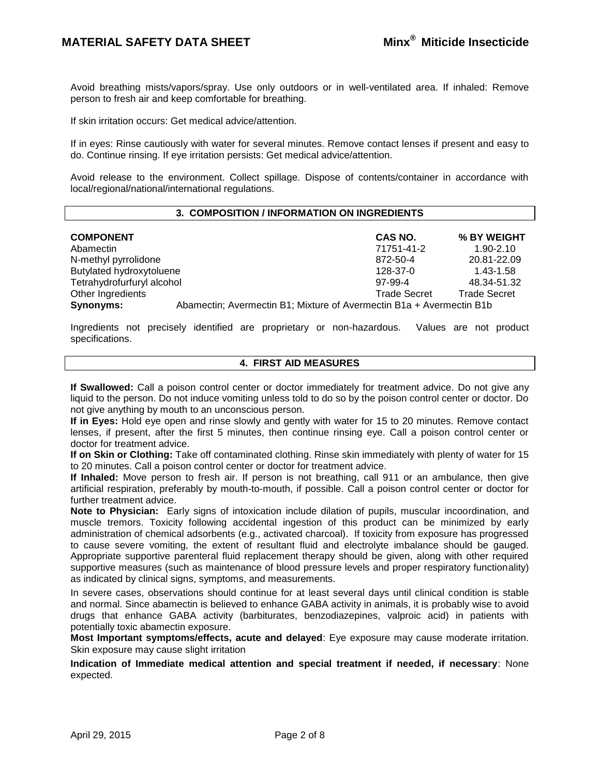Avoid breathing mists/vapors/spray. Use only outdoors or in well-ventilated area. If inhaled: Remove person to fresh air and keep comfortable for breathing.

If skin irritation occurs: Get medical advice/attention.

If in eyes: Rinse cautiously with water for several minutes. Remove contact lenses if present and easy to do. Continue rinsing. If eye irritation persists: Get medical advice/attention.

Avoid release to the environment. Collect spillage. Dispose of contents/container in accordance with local/regional/national/international regulations.

### **3. COMPOSITION / INFORMATION ON INGREDIENTS**

| <b>COMPONENT</b>           |                                                                      | CAS NO.             | % BY WEIGHT         |  |
|----------------------------|----------------------------------------------------------------------|---------------------|---------------------|--|
| Abamectin                  |                                                                      | 71751-41-2          | $1.90 - 2.10$       |  |
| N-methyl pyrrolidone       |                                                                      | 872-50-4            | 20.81-22.09         |  |
| Butylated hydroxytoluene   |                                                                      | 128-37-0            | 1.43-1.58           |  |
| Tetrahydrofurfuryl alcohol |                                                                      | 97-99-4             | 48.34-51.32         |  |
| Other Ingredients          |                                                                      | <b>Trade Secret</b> | <b>Trade Secret</b> |  |
| Synonyms:                  | Abamectin; Avermectin B1; Mixture of Avermectin B1a + Avermectin B1b |                     |                     |  |

Ingredients not precisely identified are proprietary or non-hazardous. Values are not product specifications.

# **4. FIRST AID MEASURES**

**If Swallowed:** Call a poison control center or doctor immediately for treatment advice. Do not give any liquid to the person. Do not induce vomiting unless told to do so by the poison control center or doctor. Do not give anything by mouth to an unconscious person.

**If in Eyes:** Hold eye open and rinse slowly and gently with water for 15 to 20 minutes. Remove contact lenses, if present, after the first 5 minutes, then continue rinsing eye. Call a poison control center or doctor for treatment advice.

**If on Skin or Clothing:** Take off contaminated clothing. Rinse skin immediately with plenty of water for 15 to 20 minutes. Call a poison control center or doctor for treatment advice.

**If Inhaled:** Move person to fresh air. If person is not breathing, call 911 or an ambulance, then give artificial respiration, preferably by mouth-to-mouth, if possible. Call a poison control center or doctor for further treatment advice.

**Note to Physician:** Early signs of intoxication include dilation of pupils, muscular incoordination, and muscle tremors. Toxicity following accidental ingestion of this product can be minimized by early administration of chemical adsorbents (e.g., activated charcoal). If toxicity from exposure has progressed to cause severe vomiting, the extent of resultant fluid and electrolyte imbalance should be gauged. Appropriate supportive parenteral fluid replacement therapy should be given, along with other required supportive measures (such as maintenance of blood pressure levels and proper respiratory functionality) as indicated by clinical signs, symptoms, and measurements.

In severe cases, observations should continue for at least several days until clinical condition is stable and normal. Since abamectin is believed to enhance GABA activity in animals, it is probably wise to avoid drugs that enhance GABA activity (barbiturates, benzodiazepines, valproic acid) in patients with potentially toxic abamectin exposure.

**Most Important symptoms/effects, acute and delayed**: Eye exposure may cause moderate irritation. Skin exposure may cause slight irritation

**Indication of Immediate medical attention and special treatment if needed, if necessary**: None expected.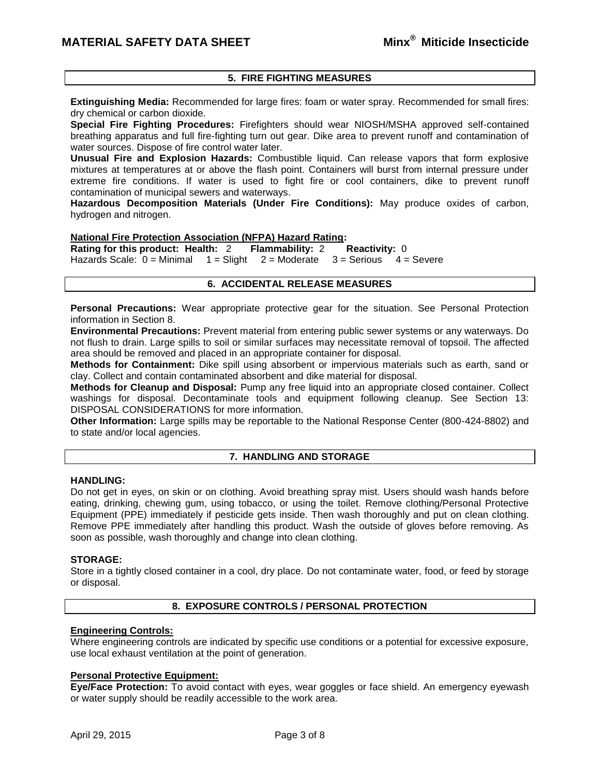# **5. FIRE FIGHTING MEASURES**

**Extinguishing Media:** Recommended for large fires: foam or water spray. Recommended for small fires: dry chemical or carbon dioxide.

**Special Fire Fighting Procedures:** Firefighters should wear NIOSH/MSHA approved self-contained breathing apparatus and full fire-fighting turn out gear. Dike area to prevent runoff and contamination of water sources. Dispose of fire control water later.

**Unusual Fire and Explosion Hazards:** Combustible liquid. Can release vapors that form explosive mixtures at temperatures at or above the flash point. Containers will burst from internal pressure under extreme fire conditions. If water is used to fight fire or cool containers, dike to prevent runoff contamination of municipal sewers and waterways.

**Hazardous Decomposition Materials (Under Fire Conditions):** May produce oxides of carbon, hydrogen and nitrogen.

#### **National Fire Protection Association (NFPA) Hazard Rating:**

**Rating for this product: Health:** 2 **Flammability:** 2 **Reactivity:** 0 Hazards Scale:  $0 =$  Minimal  $1 =$  Slight  $2 =$  Moderate  $3 =$  Serious  $4 =$  Severe

# **6. ACCIDENTAL RELEASE MEASURES**

**Personal Precautions:** Wear appropriate protective gear for the situation. See Personal Protection information in Section 8.

**Environmental Precautions:** Prevent material from entering public sewer systems or any waterways. Do not flush to drain. Large spills to soil or similar surfaces may necessitate removal of topsoil. The affected area should be removed and placed in an appropriate container for disposal.

**Methods for Containment:** Dike spill using absorbent or impervious materials such as earth, sand or clay. Collect and contain contaminated absorbent and dike material for disposal.

**Methods for Cleanup and Disposal:** Pump any free liquid into an appropriate closed container. Collect washings for disposal. Decontaminate tools and equipment following cleanup. See Section 13: DISPOSAL CONSIDERATIONS for more information.

**Other Information:** Large spills may be reportable to the National Response Center (800-424-8802) and to state and/or local agencies.

#### **7. HANDLING AND STORAGE**

### **HANDLING:**

Do not get in eyes, on skin or on clothing. Avoid breathing spray mist. Users should wash hands before eating, drinking, chewing gum, using tobacco, or using the toilet. Remove clothing/Personal Protective Equipment (PPE) immediately if pesticide gets inside. Then wash thoroughly and put on clean clothing. Remove PPE immediately after handling this product. Wash the outside of gloves before removing. As soon as possible, wash thoroughly and change into clean clothing.

### **STORAGE:**

Store in a tightly closed container in a cool, dry place. Do not contaminate water, food, or feed by storage or disposal.

# **8. EXPOSURE CONTROLS / PERSONAL PROTECTION**

### **Engineering Controls:**

Where engineering controls are indicated by specific use conditions or a potential for excessive exposure, use local exhaust ventilation at the point of generation.

### **Personal Protective Equipment:**

**Eye/Face Protection:** To avoid contact with eyes, wear goggles or face shield. An emergency eyewash or water supply should be readily accessible to the work area.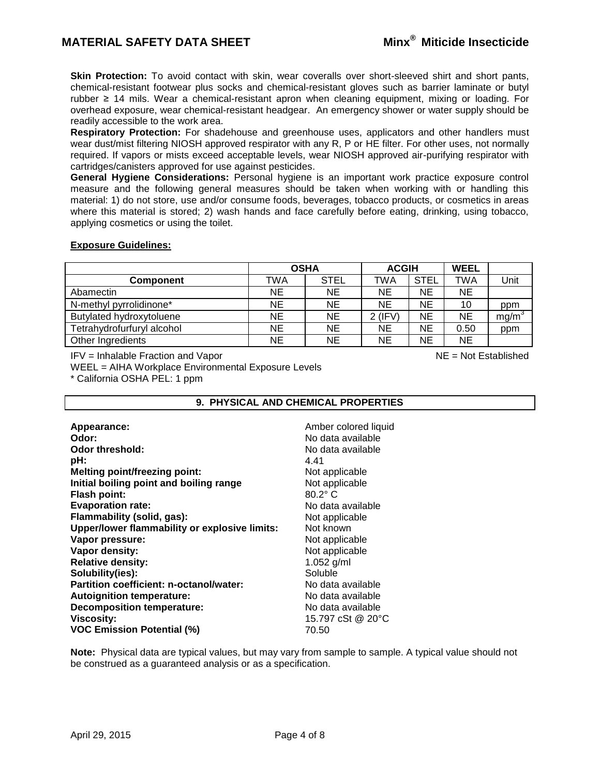**Skin Protection:** To avoid contact with skin, wear coveralls over short-sleeved shirt and short pants, chemical-resistant footwear plus socks and chemical-resistant gloves such as barrier laminate or butyl rubber ≥ 14 mils. Wear a chemical-resistant apron when cleaning equipment, mixing or loading. For overhead exposure, wear chemical-resistant headgear. An emergency shower or water supply should be readily accessible to the work area.

**Respiratory Protection:** For shadehouse and greenhouse uses, applicators and other handlers must wear dust/mist filtering NIOSH approved respirator with any R, P or HE filter. For other uses, not normally required. If vapors or mists exceed acceptable levels, wear NIOSH approved air-purifying respirator with cartridges/canisters approved for use against pesticides.

**General Hygiene Considerations:** Personal hygiene is an important work practice exposure control measure and the following general measures should be taken when working with or handling this material: 1) do not store, use and/or consume foods, beverages, tobacco products, or cosmetics in areas where this material is stored; 2) wash hands and face carefully before eating, drinking, using tobacco, applying cosmetics or using the toilet.

# **Exposure Guidelines:**

|                            | <b>OSHA</b> |             | <b>ACGIH</b> |             | <b>WEEL</b> |                   |
|----------------------------|-------------|-------------|--------------|-------------|-------------|-------------------|
| <b>Component</b>           | TWA         | <b>STEL</b> | TWA          | <b>STEL</b> | <b>TWA</b>  | Unit              |
| Abamectin                  | NE.         | <b>NE</b>   | <b>NE</b>    | ΝE          | <b>NE</b>   |                   |
| N-methyl pyrrolidinone*    | ΝE          | <b>NE</b>   | <b>NE</b>    | ΝE          | 10          | ppm               |
| Butylated hydroxytoluene   | NE.         | <b>NE</b>   | $2$ (IFV)    | NE.         | <b>NE</b>   | mg/m <sup>3</sup> |
| Tetrahydrofurfuryl alcohol | NE.         | <b>NE</b>   | <b>NE</b>    | NΕ          | 0.50        | ppm               |
| Other Ingredients          | ΝE          | NE          | NE           | ΝE          | <b>NE</b>   |                   |

 $IFV = Inhalable Fraction and Vapor$   $I = VI$  and  $V = VI$  and  $V = VI$  and  $V = VI$  and  $VI = IV$  and  $VI = IV$  are  $IV = N$  and  $IV = N$  and  $N$ 

WEEL = AIHA Workplace Environmental Exposure Levels

\* California OSHA PEL: 1 ppm

# **9. PHYSICAL AND CHEMICAL PROPERTIES**

| Appearance:                                   | Amber colored liquid |  |  |  |
|-----------------------------------------------|----------------------|--|--|--|
| Odor:                                         | No data available    |  |  |  |
| Odor threshold:                               | No data available    |  |  |  |
| pH:                                           | 4.41                 |  |  |  |
| <b>Melting point/freezing point:</b>          | Not applicable       |  |  |  |
| Initial boiling point and boiling range       | Not applicable       |  |  |  |
| <b>Flash point:</b>                           | $80.2^\circ$ C       |  |  |  |
| <b>Evaporation rate:</b>                      | No data available    |  |  |  |
| Flammability (solid, gas):                    | Not applicable       |  |  |  |
| Upper/lower flammability or explosive limits: | Not known            |  |  |  |
| Vapor pressure:                               | Not applicable       |  |  |  |
| Vapor density:                                | Not applicable       |  |  |  |
| <b>Relative density:</b>                      | 1.052 g/ml           |  |  |  |
| Solubility(ies):                              | Soluble              |  |  |  |
| Partition coefficient: n-octanol/water:       | No data available    |  |  |  |
| <b>Autoignition temperature:</b>              | No data available    |  |  |  |
| <b>Decomposition temperature:</b>             | No data available    |  |  |  |
| <b>Viscosity:</b>                             | 15.797 cSt @ 20°C    |  |  |  |
| <b>VOC Emission Potential (%)</b>             | 70.50                |  |  |  |

**Note:** Physical data are typical values, but may vary from sample to sample. A typical value should not be construed as a guaranteed analysis or as a specification.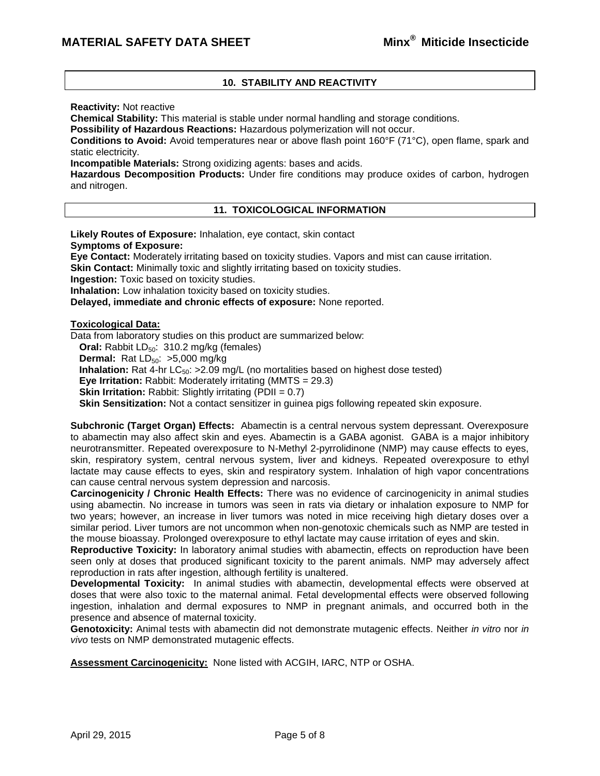# **10. STABILITY AND REACTIVITY**

**Reactivity:** Not reactive

**Chemical Stability:** This material is stable under normal handling and storage conditions.

**Possibility of Hazardous Reactions:** Hazardous polymerization will not occur.

**Conditions to Avoid:** Avoid temperatures near or above flash point 160°F (71°C), open flame, spark and static electricity.

**Incompatible Materials:** Strong oxidizing agents: bases and acids.

**Hazardous Decomposition Products:** Under fire conditions may produce oxides of carbon, hydrogen and nitrogen.

# **11. TOXICOLOGICAL INFORMATION**

**Likely Routes of Exposure:** Inhalation, eye contact, skin contact **Symptoms of Exposure: Eye Contact:** Moderately irritating based on toxicity studies. Vapors and mist can cause irritation. **Skin Contact:** Minimally toxic and slightly irritating based on toxicity studies. **Ingestion:** Toxic based on toxicity studies. **Inhalation:** Low inhalation toxicity based on toxicity studies. **Delayed, immediate and chronic effects of exposure:** None reported. **Toxicological Data:** Data from laboratory studies on this product are summarized below: **Oral:** Rabbit LD<sub>50</sub>: 310.2 mg/kg (females) **Dermal:** Rat  $LD_{50}$ :  $>5,000$  mg/kg

**Inhalation:** Rat 4-hr  $LC_{50}$ :  $>2.09$  mg/L (no mortalities based on highest dose tested)

**Eye Irritation:** Rabbit: Moderately irritating (MMTS = 29.3)

**Skin Irritation:** Rabbit: Slightly irritating (PDII = 0.7)

**Skin Sensitization:** Not a contact sensitizer in guinea pigs following repeated skin exposure.

**Subchronic (Target Organ) Effects:** Abamectin is a central nervous system depressant. Overexposure to abamectin may also affect skin and eyes. Abamectin is a GABA agonist. GABA is a major inhibitory neurotransmitter. Repeated overexposure to N-Methyl 2-pyrrolidinone (NMP) may cause effects to eyes, skin, respiratory system, central nervous system, liver and kidneys. Repeated overexposure to ethyl lactate may cause effects to eyes, skin and respiratory system. Inhalation of high vapor concentrations can cause central nervous system depression and narcosis.

**Carcinogenicity / Chronic Health Effects:** There was no evidence of carcinogenicity in animal studies using abamectin. No increase in tumors was seen in rats via dietary or inhalation exposure to NMP for two years; however, an increase in liver tumors was noted in mice receiving high dietary doses over a similar period. Liver tumors are not uncommon when non-genotoxic chemicals such as NMP are tested in the mouse bioassay. Prolonged overexposure to ethyl lactate may cause irritation of eyes and skin.

**Reproductive Toxicity:** In laboratory animal studies with abamectin, effects on reproduction have been seen only at doses that produced significant toxicity to the parent animals. NMP may adversely affect reproduction in rats after ingestion, although fertility is unaltered.

**Developmental Toxicity:** In animal studies with abamectin, developmental effects were observed at doses that were also toxic to the maternal animal. Fetal developmental effects were observed following ingestion, inhalation and dermal exposures to NMP in pregnant animals, and occurred both in the presence and absence of maternal toxicity.

**Genotoxicity:** Animal tests with abamectin did not demonstrate mutagenic effects. Neither *in vitro* nor *in vivo* tests on NMP demonstrated mutagenic effects.

**Assessment Carcinogenicity:** None listed with ACGIH, IARC, NTP or OSHA.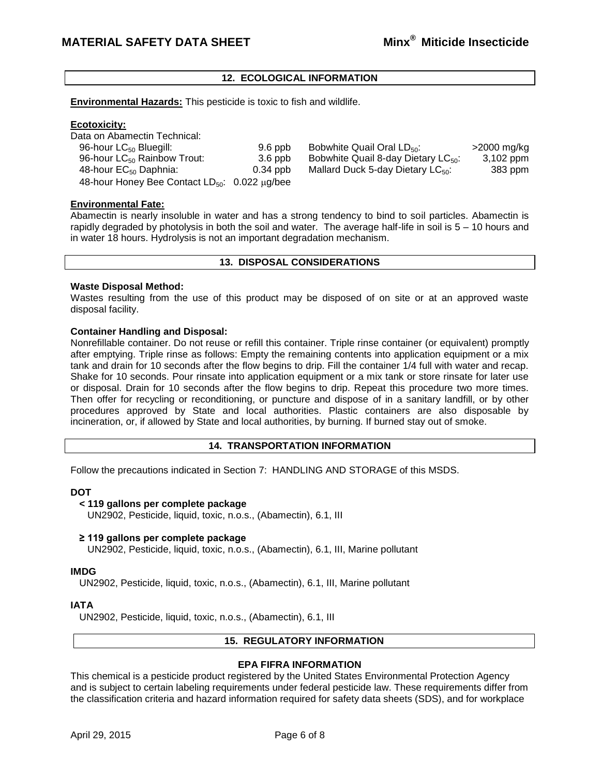# **12. ECOLOGICAL INFORMATION**

**Environmental Hazards:** This pesticide is toxic to fish and wildlife.

# **Ecotoxicity:**

Data on Abamectin Technical: 96-hour LC<sub>50</sub> Bluegill: 9.6 ppb Bobwhite Quail Oral LD<sub>50</sub>:  $>$ 2000 mg/kg 96-hour LC<sub>50</sub> Rainbow Trout: 3.6 ppb Bobwhite Quail 8-day Dietary LC<sub>50</sub>: 3.102 ppm 96-hour LC<sub>50</sub> Rainbow Trout:  $3.6$  ppb Bobwhite Quail 8-day Dietary LC<sub>50</sub>:  $3,102$  ppm 48-hour EC<sub>50</sub> Daphnia:  $0.34$  ppb Mallard Duck 5-day Dietary LC<sub>50</sub>:  $383$  ppm Mallard Duck 5-day Dietary LC $_{50}$ : 48-hour Honey Bee Contact  $LD_{50}$ : 0.022  $\mu$ g/bee

# **Environmental Fate:**

Abamectin is nearly insoluble in water and has a strong tendency to bind to soil particles. Abamectin is rapidly degraded by photolysis in both the soil and water. The average half-life in soil is 5 – 10 hours and in water 18 hours. Hydrolysis is not an important degradation mechanism.

# **13. DISPOSAL CONSIDERATIONS**

# **Waste Disposal Method:**

Wastes resulting from the use of this product may be disposed of on site or at an approved waste disposal facility.

# **Container Handling and Disposal:**

Nonrefillable container. Do not reuse or refill this container. Triple rinse container (or equivalent) promptly after emptying. Triple rinse as follows: Empty the remaining contents into application equipment or a mix tank and drain for 10 seconds after the flow begins to drip. Fill the container 1/4 full with water and recap. Shake for 10 seconds. Pour rinsate into application equipment or a mix tank or store rinsate for later use or disposal. Drain for 10 seconds after the flow begins to drip. Repeat this procedure two more times. Then offer for recycling or reconditioning, or puncture and dispose of in a sanitary landfill, or by other procedures approved by State and local authorities. Plastic containers are also disposable by incineration, or, if allowed by State and local authorities, by burning. If burned stay out of smoke.

# **14. TRANSPORTATION INFORMATION**

Follow the precautions indicated in Section 7: HANDLING AND STORAGE of this MSDS.

# **DOT**

#### **< 119 gallons per complete package**

UN2902, Pesticide, liquid, toxic, n.o.s., (Abamectin), 6.1, III

#### **≥ 119 gallons per complete package**

UN2902, Pesticide, liquid, toxic, n.o.s., (Abamectin), 6.1, III, Marine pollutant

### **IMDG**

UN2902, Pesticide, liquid, toxic, n.o.s., (Abamectin), 6.1, III, Marine pollutant

# **IATA**

UN2902, Pesticide, liquid, toxic, n.o.s., (Abamectin), 6.1, III

# **15. REGULATORY INFORMATION**

# **EPA FIFRA INFORMATION**

This chemical is a pesticide product registered by the United States Environmental Protection Agency and is subject to certain labeling requirements under federal pesticide law. These requirements differ from the classification criteria and hazard information required for safety data sheets (SDS), and for workplace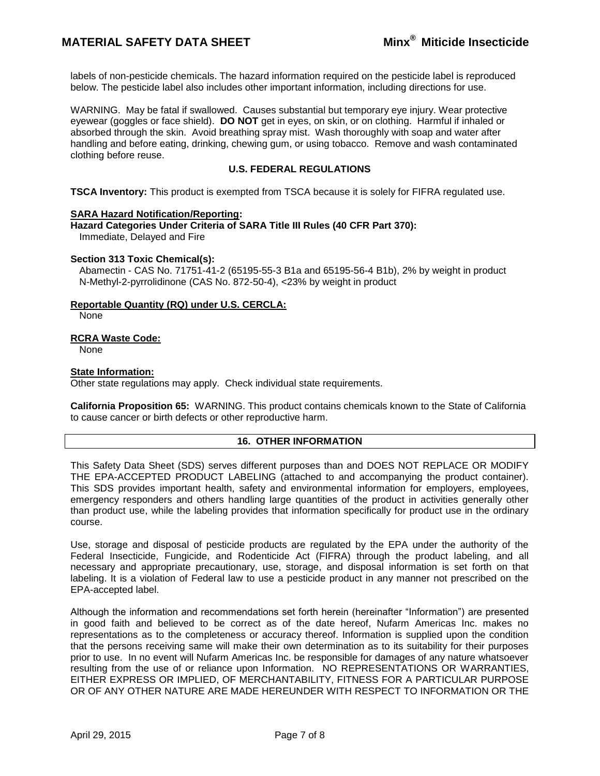# **MATERIAL SAFETY DATA SHEET Minx® Miticide Insecticide**

labels of non-pesticide chemicals. The hazard information required on the pesticide label is reproduced below. The pesticide label also includes other important information, including directions for use.

WARNING. May be fatal if swallowed. Causes substantial but temporary eye injury. Wear protective eyewear (goggles or face shield). **DO NOT** get in eyes, on skin, or on clothing. Harmful if inhaled or absorbed through the skin. Avoid breathing spray mist. Wash thoroughly with soap and water after handling and before eating, drinking, chewing gum, or using tobacco. Remove and wash contaminated clothing before reuse.

# **U.S. FEDERAL REGULATIONS**

**TSCA Inventory:** This product is exempted from TSCA because it is solely for FIFRA regulated use.

### **SARA Hazard Notification/Reporting:**

**Hazard Categories Under Criteria of SARA Title III Rules (40 CFR Part 370):** Immediate, Delayed and Fire

#### **Section 313 Toxic Chemical(s):**

Abamectin - CAS No. 71751-41-2 (65195-55-3 B1a and 65195-56-4 B1b), 2% by weight in product N-Methyl-2-pyrrolidinone (CAS No. 872-50-4), <23% by weight in product

### **Reportable Quantity (RQ) under U.S. CERCLA:**

None

### **RCRA Waste Code:**

None

### **State Information:**

Other state regulations may apply. Check individual state requirements.

**California Proposition 65:** WARNING. This product contains chemicals known to the State of California to cause cancer or birth defects or other reproductive harm.

# **16. OTHER INFORMATION**

This Safety Data Sheet (SDS) serves different purposes than and DOES NOT REPLACE OR MODIFY THE EPA-ACCEPTED PRODUCT LABELING (attached to and accompanying the product container). This SDS provides important health, safety and environmental information for employers, employees, emergency responders and others handling large quantities of the product in activities generally other than product use, while the labeling provides that information specifically for product use in the ordinary course.

Use, storage and disposal of pesticide products are regulated by the EPA under the authority of the Federal Insecticide, Fungicide, and Rodenticide Act (FIFRA) through the product labeling, and all necessary and appropriate precautionary, use, storage, and disposal information is set forth on that labeling. It is a violation of Federal law to use a pesticide product in any manner not prescribed on the EPA-accepted label.

Although the information and recommendations set forth herein (hereinafter "Information") are presented in good faith and believed to be correct as of the date hereof, Nufarm Americas Inc. makes no representations as to the completeness or accuracy thereof. Information is supplied upon the condition that the persons receiving same will make their own determination as to its suitability for their purposes prior to use. In no event will Nufarm Americas Inc. be responsible for damages of any nature whatsoever resulting from the use of or reliance upon Information. NO REPRESENTATIONS OR WARRANTIES, EITHER EXPRESS OR IMPLIED, OF MERCHANTABILITY, FITNESS FOR A PARTICULAR PURPOSE OR OF ANY OTHER NATURE ARE MADE HEREUNDER WITH RESPECT TO INFORMATION OR THE